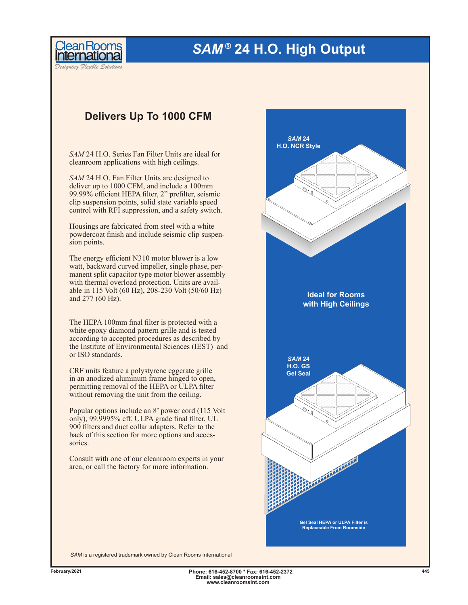## *SAM ®* **24 H.O. High Output**

*Designing Flexible Solutions*

**leanRooms** 

## **Delivers Up To 1000 CFM**

*SAM* 24 H.O. Series Fan Filter Units are ideal for cleanroom applications with high ceilings.

*SAM* 24 H.O. Fan Filter Units are designed to deliver up to 1000 CFM, and include a 100mm 99.99% efficient HEPA filter, 2" prefilter, seismic clip suspension points, solid state variable speed control with RFI suppression, and a safety switch.

Housings are fabricated from steel with a white powdercoat finish and include seismic clip suspension points.

The energy efficient N310 motor blower is a low watt, backward curved impeller, single phase, permanent split capacitor type motor blower assembly with thermal overload protection. Units are available in 115 Volt (60 Hz), 208-230 Volt (50/60 Hz) and 277 (60 Hz).

The HEPA 100mm final filter is protected with a white epoxy diamond pattern grille and is tested according to accepted procedures as described by the Institute of Environmental Sciences (IEST) and or ISO standards.

CRF units feature a polystyrene eggcrate grille in an anodized aluminum frame hinged to open, permitting removal of the HEPA or ULPA filter without removing the unit from the ceiling.

Popular options include an 8' power cord (115 Volt only), 99.9995% eff. ULPA grade final filter, UL 900 filters and duct collar adapters. Refer to the back of this section for more options and accessories.

Consult with one of our cleanroom experts in your area, or call the factory for more information.



*SAM* is a registered trademark owned by Clean Rooms International

**Phone: 616-452-8700 \* Fax: 616-452-2372 February/2021 445Email: sales@cleanroomsint.com www.cleanroomsint.com**